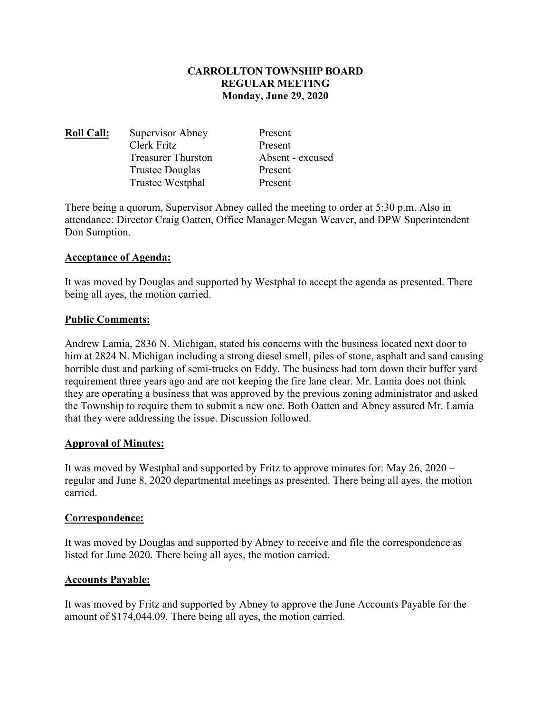## **CARROLLTON TOWNSHIP BOARD REGULAR MEETING Monday, June 29, 2020**

| <b>Roll Call:</b> | Supervisor Abney          | Present          |
|-------------------|---------------------------|------------------|
|                   | Clerk Fritz               | Present          |
|                   | <b>Treasurer Thurston</b> | Absent - excused |
|                   | <b>Trustee Douglas</b>    | Present          |
|                   | Trustee Westphal          | Present          |

There being a quorum, Supervisor Abney called the meeting to order at 5:30 p.m. Also in attendance: Director Craig Oatten, Office Manager Megan Weaver, and DPW Superintendent Don Sumption.

### **Acceptance of Agenda:**

It was moved by Douglas and supported by Westphal to accept the agenda as presented. There being all ayes, the motion carried.

### **Public Comments:**

Andrew Lamia, 2836 N. Michigan, stated his concerns with the business located next door to him at 2824 N. Michigan including a strong diesel smell, piles of stone, asphalt and sand causing horrible dust and parking of semi-trucks on Eddy. The business had torn down their buffer yard requirement three years ago and are not keeping the fire lane clear. Mr. Lamia does not think they are operating a business that was approved by the previous zoning administrator and asked the Township to require them to submit a new one. Both Oatten and Abney assured Mr. Lamia that they were addressing the issue. Discussion followed.

### **Approval of Minutes:**

It was moved by Westphal and supported by Fritz to approve minutes for: May 26, 2020 – regular and June 8, 2020 departmental meetings as presented. There being all ayes, the motion carried.

### **Correspondence:**

It was moved by Douglas and supported by Abney to receive and file the correspondence as listed for June 2020. There being all ayes, the motion carried.

# **Accounts Payable:**

It was moved by Fritz and supported by Abney to approve the June Accounts Payable for the amount of \$174,044.09. There being all ayes, the motion carried.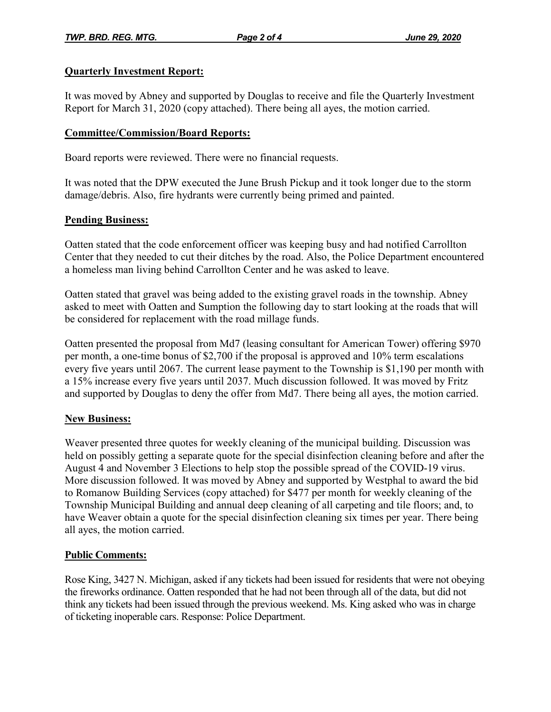## **Quarterly Investment Report:**

It was moved by Abney and supported by Douglas to receive and file the Quarterly Investment Report for March 31, 2020 (copy attached). There being all ayes, the motion carried.

## **Committee/Commission/Board Reports:**

Board reports were reviewed. There were no financial requests.

It was noted that the DPW executed the June Brush Pickup and it took longer due to the storm damage/debris. Also, fire hydrants were currently being primed and painted.

### **Pending Business:**

Oatten stated that the code enforcement officer was keeping busy and had notified Carrollton Center that they needed to cut their ditches by the road. Also, the Police Department encountered a homeless man living behind Carrollton Center and he was asked to leave.

Oatten stated that gravel was being added to the existing gravel roads in the township. Abney asked to meet with Oatten and Sumption the following day to start looking at the roads that will be considered for replacement with the road millage funds.

Oatten presented the proposal from Md7 (leasing consultant for American Tower) offering \$970 per month, a one-time bonus of \$2,700 if the proposal is approved and 10% term escalations every five years until 2067. The current lease payment to the Township is \$1,190 per month with a 15% increase every five years until 2037. Much discussion followed. It was moved by Fritz and supported by Douglas to deny the offer from Md7. There being all ayes, the motion carried.

# **New Business:**

Weaver presented three quotes for weekly cleaning of the municipal building. Discussion was held on possibly getting a separate quote for the special disinfection cleaning before and after the August 4 and November 3 Elections to help stop the possible spread of the COVID-19 virus. More discussion followed. It was moved by Abney and supported by Westphal to award the bid to Romanow Building Services (copy attached) for \$477 per month for weekly cleaning of the Township Municipal Building and annual deep cleaning of all carpeting and tile floors; and, to have Weaver obtain a quote for the special disinfection cleaning six times per year. There being all ayes, the motion carried.

### **Public Comments:**

Rose King, 3427 N. Michigan, asked if any tickets had been issued for residents that were not obeying the fireworks ordinance. Oatten responded that he had not been through all of the data, but did not think any tickets had been issued through the previous weekend. Ms. King asked who was in charge of ticketing inoperable cars. Response: Police Department.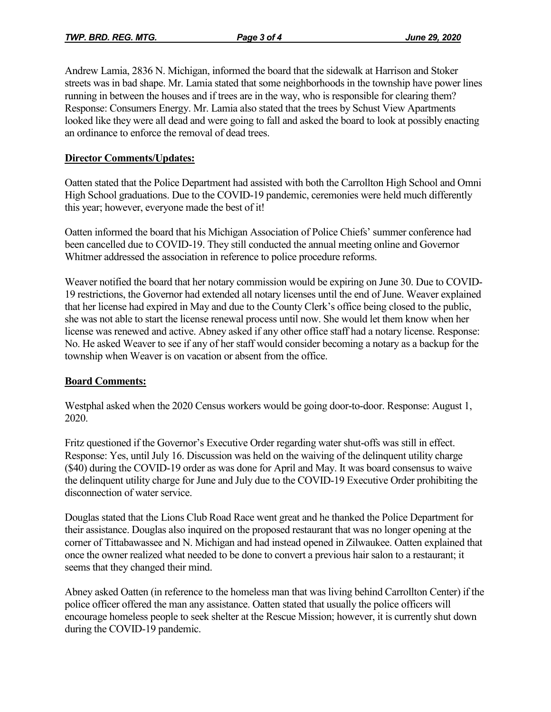Andrew Lamia, 2836 N. Michigan, informed the board that the sidewalk at Harrison and Stoker streets was in bad shape. Mr. Lamia stated that some neighborhoods in the township have power lines running in between the houses and if trees are in the way, who is responsible for clearing them? Response: Consumers Energy. Mr. Lamia also stated that the trees by Schust View Apartments looked like they were all dead and were going to fall and asked the board to look at possibly enacting an ordinance to enforce the removal of dead trees.

# **Director Comments/Updates:**

Oatten stated that the Police Department had assisted with both the Carrollton High School and Omni High School graduations. Due to the COVID-19 pandemic, ceremonies were held much differently this year; however, everyone made the best of it!

Oatten informed the board that his Michigan Association of Police Chiefs' summer conference had been cancelled due to COVID-19. They still conducted the annual meeting online and Governor Whitmer addressed the association in reference to police procedure reforms.

Weaver notified the board that her notary commission would be expiring on June 30. Due to COVID-19 restrictions, the Governor had extended all notary licenses until the end of June. Weaver explained that her license had expired in May and due to the County Clerk's office being closed to the public, she was not able to start the license renewal process until now. She would let them know when her license was renewed and active. Abney asked if any other office staff had a notary license. Response: No. He asked Weaver to see if any of her staff would consider becoming a notary as a backup for the township when Weaver is on vacation or absent from the office.

### **Board Comments:**

Westphal asked when the 2020 Census workers would be going door-to-door. Response: August 1, 2020.

Fritz questioned if the Governor's Executive Order regarding water shut-offs was still in effect. Response: Yes, until July 16. Discussion was held on the waiving of the delinquent utility charge (\$40) during the COVID-19 order as was done for April and May. It was board consensus to waive the delinquent utility charge for June and July due to the COVID-19 Executive Order prohibiting the disconnection of water service.

Douglas stated that the Lions Club Road Race went great and he thanked the Police Department for their assistance. Douglas also inquired on the proposed restaurant that was no longer opening at the corner of Tittabawassee and N. Michigan and had instead opened in Zilwaukee. Oatten explained that once the owner realized what needed to be done to convert a previous hair salon to a restaurant; it seems that they changed their mind.

Abney asked Oatten (in reference to the homeless man that was living behind Carrollton Center) if the police officer offered the man any assistance. Oatten stated that usually the police officers will encourage homeless people to seek shelter at the Rescue Mission; however, it is currently shut down during the COVID-19 pandemic.